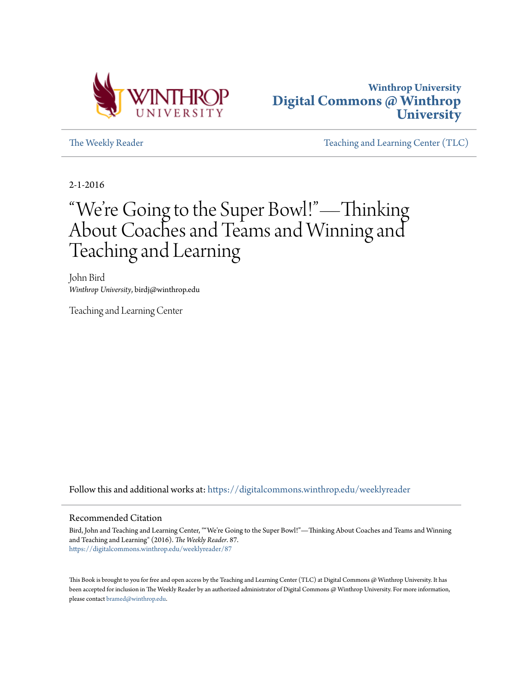



[The Weekly Reader](https://digitalcommons.winthrop.edu/weeklyreader?utm_source=digitalcommons.winthrop.edu%2Fweeklyreader%2F87&utm_medium=PDF&utm_campaign=PDFCoverPages) The Weekly Reader [Teaching and Learning Center \(TLC\)](https://digitalcommons.winthrop.edu/tlc?utm_source=digitalcommons.winthrop.edu%2Fweeklyreader%2F87&utm_medium=PDF&utm_campaign=PDFCoverPages)

2-1-2016

## "We re Going to the Super Bowl!"—Thinking ' About Coaches and Teams and Winning and Teaching and Learning

John Bird *Winthrop University*, birdj@winthrop.edu

Teaching and Learning Center

Follow this and additional works at: [https://digitalcommons.winthrop.edu/weeklyreader](https://digitalcommons.winthrop.edu/weeklyreader?utm_source=digitalcommons.winthrop.edu%2Fweeklyreader%2F87&utm_medium=PDF&utm_campaign=PDFCoverPages)

#### Recommended Citation

Bird, John and Teaching and Learning Center, ""We're Going to the Super Bowl!"—Thinking About Coaches and Teams and Winning and Teaching and Learning" (2016). *The Weekly Reader*. 87. [https://digitalcommons.winthrop.edu/weeklyreader/87](https://digitalcommons.winthrop.edu/weeklyreader/87?utm_source=digitalcommons.winthrop.edu%2Fweeklyreader%2F87&utm_medium=PDF&utm_campaign=PDFCoverPages)

This Book is brought to you for free and open access by the Teaching and Learning Center (TLC) at Digital Commons @ Winthrop University. It has been accepted for inclusion in The Weekly Reader by an authorized administrator of Digital Commons @ Winthrop University. For more information, please contact [bramed@winthrop.edu](mailto:bramed@winthrop.edu).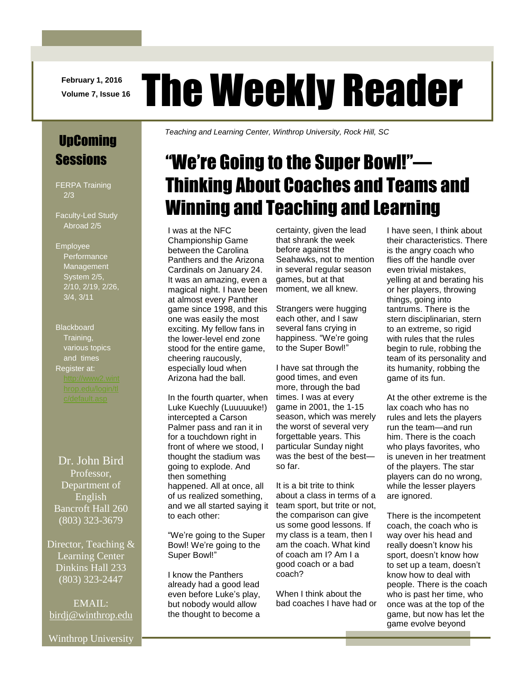**February 1, 2016**

# February 1, 2016 The Weekly Reader

# UpComing **Sessions**

FERPA Training 2/3

Faculty-Led Study Abroad 2/5

#### Employee

**Performance** Management System 2/5, 2/10, 2/19, 2/26, 3/4, 3/11

**Blackboard** Training, various topics and times Register at:

Dr. John Bird Professor, Department of English Bancroft Hall 260 (803) 323-3679

Director, Teaching & Learning Center Dinkins Hall 233 (803) 323-2447

EMAIL: [birdj@winthrop.edu](mailto:birdj@winthrop.edu) *Teaching and Learning Center, Winthrop University, Rock Hill, SC*

# "We're Going to the Super Bowl!"— Thinking About Coaches and Teams and Winning and Teaching and Learning

I was at the NFC Championship Game between the Carolina Panthers and the Arizona Cardinals on January 24. It was an amazing, even a magical night. I have been at almost every Panther game since 1998, and this one was easily the most exciting. My fellow fans in the lower-level end zone stood for the entire game, cheering raucously, especially loud when Arizona had the ball.

In the fourth quarter, when Luke Kuechly (Luuuuuke!) intercepted a Carson Palmer pass and ran it in for a touchdown right in front of where we stood, I thought the stadium was going to explode. And then something happened. All at once, all of us realized something, and we all started saying it to each other:

"We're going to the Super Bowl! We're going to the Super Bowl!"

I know the Panthers already had a good lead even before Luke's play, but nobody would allow the thought to become a

certainty, given the lead that shrank the week before against the Seahawks, not to mention in several regular season games, but at that moment, we all knew.

Strangers were hugging each other, and I saw several fans crying in happiness. "We're going to the Super Bowl!"

I have sat through the good times, and even more, through the bad times. I was at every game in 2001, the 1-15 season, which was merely the worst of several very forgettable years. This particular Sunday night was the best of the best so far.

It is a bit trite to think about a class in terms of a team sport, but trite or not, the comparison can give us some good lessons. If my class is a team, then I am the coach. What kind of coach am I? Am I a good coach or a bad coach?

When I think about the bad coaches I have had or I have seen, I think about their characteristics. There is the angry coach who flies off the handle over even trivial mistakes, yelling at and berating his or her players, throwing things, going into tantrums. There is the stern disciplinarian, stern to an extreme, so rigid with rules that the rules begin to rule, robbing the team of its personality and its humanity, robbing the game of its fun.

At the other extreme is the lax coach who has no rules and lets the players run the team—and run him. There is the coach who plays favorites, who is uneven in her treatment of the players. The star players can do no wrong, while the lesser players are ignored.

There is the incompetent coach, the coach who is way over his head and really doesn't know his sport, doesn't know how to set up a team, doesn't know how to deal with people. There is the coach who is past her time, who once was at the top of the game, but now has let the game evolve beyond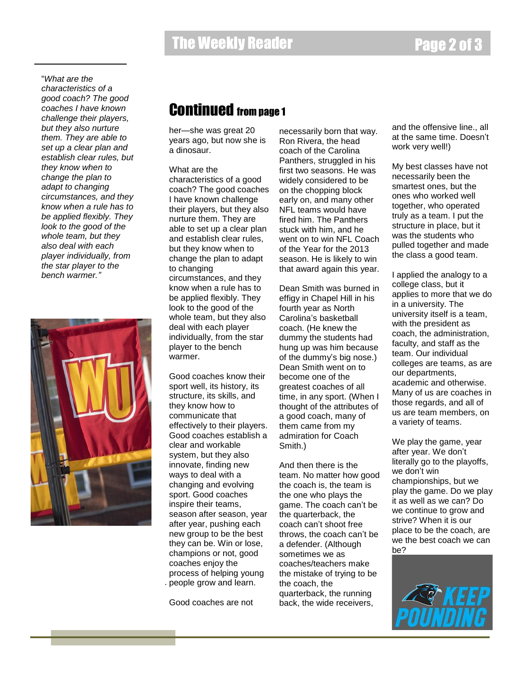"*What are the characteristics of a good coach? The good coaches I have known challenge their players, but they also nurture them. They are able to set up a clear plan and establish clear rules, but they know when to change the plan to adapt to changing circumstances, and they know when a rule has to be applied flexibly. They look to the good of the whole team, but they also deal with each player individually, from the star player to the bench warmer."*



## Continued from page 1

her—she was great 20 years ago, but now she is a dinosaur.

#### What are the

characteristics of a good coach? The good coaches I have known challenge their players, but they also nurture them. They are able to set up a clear plan and establish clear rules, but they know when to change the plan to adapt to changing circumstances, and they know when a rule has to be applied flexibly. They look to the good of the whole team, but they also deal with each player individually, from the star player to the bench warmer.

Good coaches know their sport well, its history, its structure, its skills, and they know how to communicate that effectively to their players. Good coaches establish a clear and workable system, but they also innovate, finding new ways to deal with a changing and evolving sport. Good coaches inspire their teams, season after season, year after year, pushing each new group to be the best they can be. Win or lose, champions or not, good coaches enjoy the process of helping young people grow and learn. .

Good coaches are not

necessarily born that way. Ron Rivera, the head coach of the Carolina Panthers, struggled in his first two seasons. He was widely considered to be on the chopping block early on, and many other NFL teams would have fired him. The Panthers stuck with him, and he went on to win NFL Coach of the Year for the 2013 season. He is likely to win that award again this year.

Dean Smith was burned in effigy in Chapel Hill in his fourth year as North Carolina's basketball coach. (He knew the dummy the students had hung up was him because of the dummy's big nose.) Dean Smith went on to become one of the greatest coaches of all time, in any sport. (When I thought of the attributes of a good coach, many of them came from my admiration for Coach Smith.)

And then there is the team. No matter how good the coach is, the team is the one who plays the game. The coach can't be the quarterback, the coach can't shoot free throws, the coach can't be a defender. (Although sometimes we as coaches/teachers make the mistake of trying to be the coach, the quarterback, the running back, the wide receivers,

and the offensive line., all at the same time. Doesn't work very well!)

My best classes have not necessarily been the smartest ones, but the ones who worked well together, who operated truly as a team. I put the structure in place, but it was the students who pulled together and made the class a good team.

I applied the analogy to a college class, but it applies to more that we do in a university. The university itself is a team, with the president as coach, the administration, faculty, and staff as the team. Our individual colleges are teams, as are our departments, academic and otherwise. Many of us are coaches in those regards, and all of us are team members, on a variety of teams.

We play the game, year after year. We don't literally go to the playoffs, we don't win championships, but we play the game. Do we play it as well as we can? Do we continue to grow and strive? When it is our place to be the coach, are we the best coach we can be?